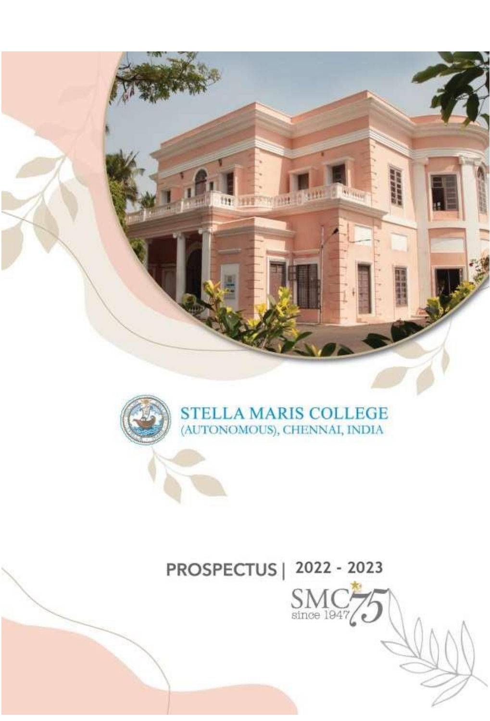



# PROSPECTUS | 2022 - 2023

 $S_{\text{since 1947}}$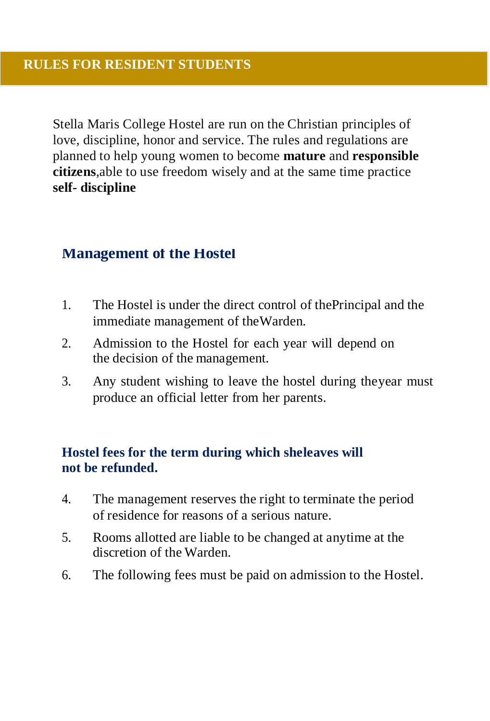Stella Maris College Hostel are run on the Christian principles of love, discipline, honor and service. The rules and regulations are planned to help young women to become **mature** and **responsible citizens**,able to use freedom wisely and at the same time practice **self- discipline**

#### **Management of the Hostel**

- 1. The Hostel is under the direct control of thePrincipal and the immediate management of theWarden.
- 2. Admission to the Hostel for each year will depend on the decision of the management.
- 3. Any student wishing to leave the hostel during theyear must produce an official letter from her parents.

#### **Hostel fees for the term during which sheleaves will not be refunded.**

- 4. The management reserves the right to terminate the period of residence for reasons of a serious nature.
- 5. Rooms allotted are liable to be changed at anytime at the discretion of the Warden.
- 6. The following fees must be paid on admission to the Hostel.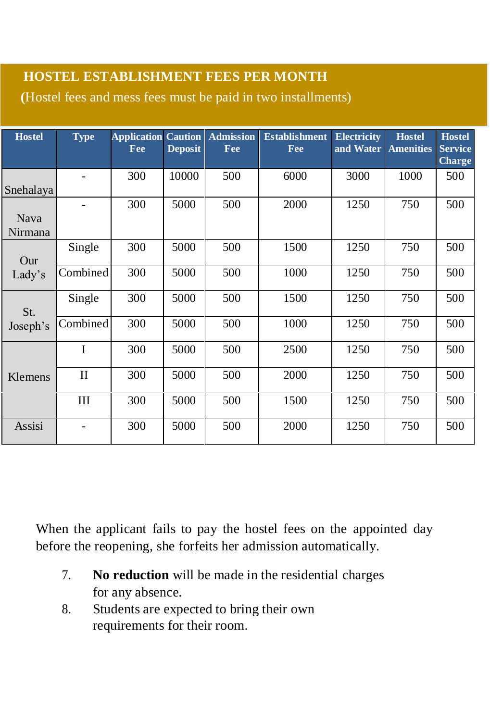## **HOSTEL ESTABLISHMENT FEES PER MONTH**

 **(**Hostel fees and mess fees must be paid in two installments)

| <b>Hostel</b>          | <b>Type</b> | <b>Application</b><br>Fee | <b>Caution</b><br><b>Deposit</b> | <b>Admission</b><br>Fee | <b>Establishment</b><br>Fee | <b>Electricity</b><br>and Water | <b>Hostel</b><br><b>Amenities</b> | <b>Hostel</b><br><b>Service</b><br><b>Charge</b> |
|------------------------|-------------|---------------------------|----------------------------------|-------------------------|-----------------------------|---------------------------------|-----------------------------------|--------------------------------------------------|
| Snehalaya              |             | 300                       | 10000                            | 500                     | 6000                        | 3000                            | 1000                              | 500                                              |
| <b>Nava</b><br>Nirmana | ٠           | 300                       | 5000                             | 500                     | 2000                        | 1250                            | 750                               | 500                                              |
| Our<br>Lady's          | Single      | 300                       | 5000                             | 500                     | 1500                        | 1250                            | 750                               | 500                                              |
|                        | Combined    | 300                       | 5000                             | 500                     | 1000                        | 1250                            | 750                               | 500                                              |
| St.<br>Joseph's        | Single      | 300                       | 5000                             | 500                     | 1500                        | 1250                            | 750                               | 500                                              |
|                        | Combined    | 300                       | 5000                             | 500                     | 1000                        | 1250                            | 750                               | 500                                              |
| Klemens                | Ī           | 300                       | 5000                             | 500                     | 2500                        | 1250                            | 750                               | 500                                              |
|                        | $_{\rm II}$ | 300                       | 5000                             | 500                     | 2000                        | 1250                            | 750                               | 500                                              |
|                        | Ш           | 300                       | 5000                             | 500                     | 1500                        | 1250                            | 750                               | 500                                              |
| Assisi                 | ٠           | 300                       | 5000                             | 500                     | 2000                        | 1250                            | 750                               | 500                                              |

When the applicant fails to pay the hostel fees on the appointed day before the reopening, she forfeits her admission automatically.

- 7. **No reduction** will be made in the residential charges for any absence.
- 8. Students are expected to bring their own requirements for their room.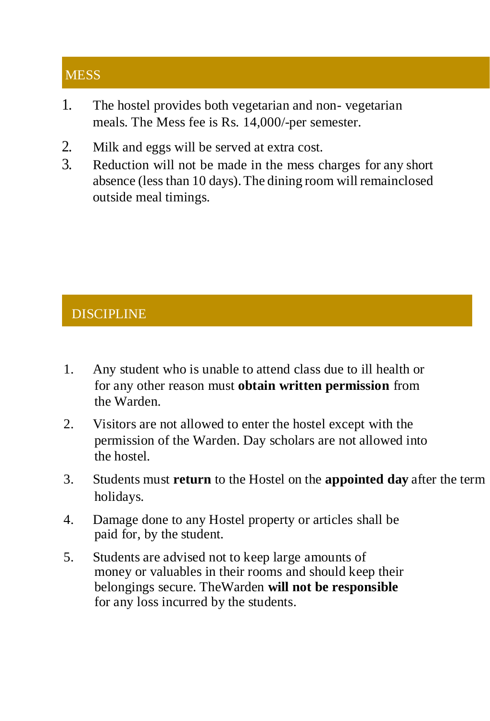# **MESS**

- 1. The hostel provides both vegetarian and non- vegetarian meals. The Mess fee is Rs. 14,000/-per semester.
- 2. Milk and eggs will be served at extra cost.
- 3. Reduction will not be made in the mess charges for any short absence (less than 10 days).The dining room will remainclosed outside meal timings.

## **DISCIPLINE**

- 1. Any student who is unable to attend class due to ill health or for any other reason must **obtain written permission** from the Warden.
- 2. Visitors are not allowed to enter the hostel except with the permission of the Warden. Day scholars are not allowed into the hostel.
- 3. Students must **return** to the Hostel on the **appointed day** after the term holidays.
- 4. Damage done to any Hostel property or articles shall be paid for, by the student.
- 5. Students are advised not to keep large amounts of money or valuables in their rooms and should keep their belongings secure. TheWarden **will not be responsible**  for any loss incurred by the students.